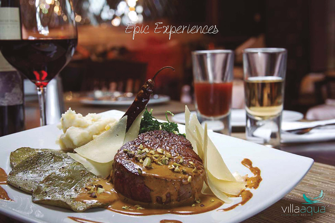

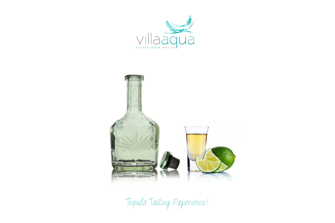



Tequila Tasting Experience!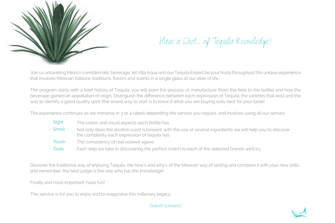

Have a Shot... of Tequila Knowledge!

Join us unraveling Mexico´s emblematic beverage, let Villa Aqua and our Tequila Expert be your hosts throughout this unique experience that involves Mexican folklore, traditions, flavors and scents in a single glass of our elixir of life.

The program starts with a brief history of Tequila; you will learn the process of manufacture (from the field to the bottle) and how the beverage gained an appellation of origin. Distinguish the difference between each expression of Tequila, the varieties that exist and the way to identify a good quality spirit (the wisest way to start is to know if what you are buying suits best for your taste).

The experience continues as we immerse in 3 or 4 labels depending the service you require, and involves using all our senses:

- The colors and visual aspects each bottle has.  $\cdot$  Sight
- Not only does the alcohol scent is present, with the use of several ingredients we will help you to discover the complexity each expression of tequila has. Smell
- The consistency of real cooked agave  $\cdot$  Touch
- Each step we take in discovering the perfect match to each of the selected brands we'll try. Taste

Discover the traditional way of enjoying Tequila, the how's and why's of the Mexican way of tasting and compare it with your new skills… and remember: the best judge is the one who has the knowledge!

Finally and most important, have fun!

.

This service is for you to enjoy and to reappraise this millenary legacy.



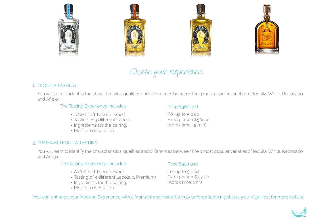







Choose your experience:

# 1. TEQUILA TASTING

You will learn to identify the characteristics, qualities and differences between the 3 most popular varieties of tequila: White, Reposado and Añejo.

#### The Tasting Experience includes:

# Price \$300 usd

- A Certified Tequila Expert.
- Tasting of 3 different Labels.
- Ingredients for the pairing.
- Mexican decoration.

(for up to 5 pax) Extra person \$50usd (Aprox time: 45min)

#### 2. PREMIUM TEQUILA TASTING

You will learn to identify the characteristics, qualities and differences between the 3 most popular varieties of tequila: White, Reposado and Añejo.

#### The Tasting Experience includes:

- A Certified Tequila Expert
- Tasting of 4 different Labels. (1 Premium).
- Ingredients for the pairing.
- Mexican decoration.

## Price \$420 usd

(for up to 5 pax) Extra person \$75usd (Aprox time: 1 hr.)

\*You can enhance your Mexican Experience with a Mariachi and make it a truly unforgettable night! Ask your Villa Host for more details

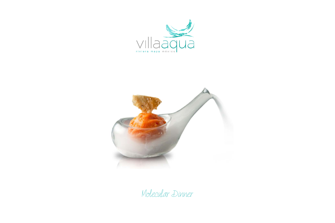



Molecular Dinner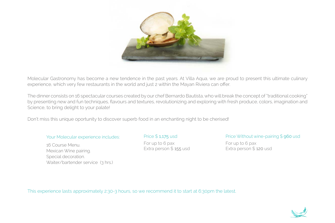

Molecular Gastronomy has become a new tendence in the past years. At Villa Aqua, we are proud to present this ultimate culinary experience, which very few restaurants in the world and just 2 within the Mayan Riviera can offer.

The dinner consists on 16 spectacular courses created by our chef Bernardo Bautista, who will break the concept of "traditional cooking" by presenting new and fun techniques, flavours and textures, revolutionizing and exploring with fresh produce, colors, imagination and Science, to bring delight to your palate!

Don't miss this unique oportunity to discover superb food in an enchanting night to be cherised!

#### Your Molecular experience includes:

16 Course Menu. Mexican Wine pairing. Special decoration. Waiter/bartender service (3 hrs.) Price \$ 1,175 usd For up to 6 pax Extra person \$ 155 usd

## Price Without wine-pairing \$ 960 usd

For up to 6 pax Extra person \$ 120 usd

This experience lasts approximately 2:30-3 hours, so we recommend it to start at 6:30pm the latest.

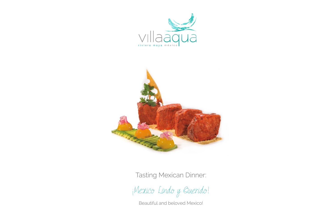



Tasting Mexican Dinner:

¡Mexico Lindo y Querido!

Beautiful and beloved Mexico!